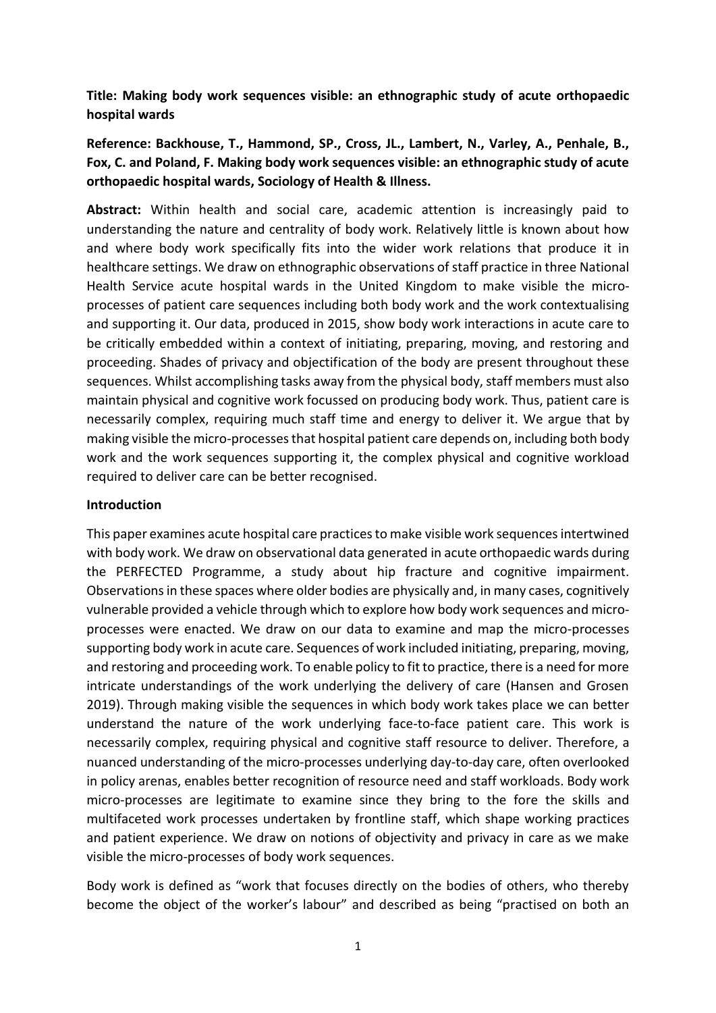**Title: Making body work sequences visible: an ethnographic study of acute orthopaedic hospital wards**

**Reference: Backhouse, T., Hammond, SP., Cross, JL., Lambert, N., Varley, A., Penhale, B., Fox, C. and Poland, F. Making body work sequences visible: an ethnographic study of acute orthopaedic hospital wards, Sociology of Health & Illness.**

**Abstract:** Within health and social care, academic attention is increasingly paid to understanding the nature and centrality of body work. Relatively little is known about how and where body work specifically fits into the wider work relations that produce it in healthcare settings. We draw on ethnographic observations of staff practice in three National Health Service acute hospital wards in the United Kingdom to make visible the microprocesses of patient care sequences including both body work and the work contextualising and supporting it. Our data, produced in 2015, show body work interactions in acute care to be critically embedded within a context of initiating, preparing, moving, and restoring and proceeding. Shades of privacy and objectification of the body are present throughout these sequences. Whilst accomplishing tasks away from the physical body, staff members must also maintain physical and cognitive work focussed on producing body work. Thus, patient care is necessarily complex, requiring much staff time and energy to deliver it. We argue that by making visible the micro-processes that hospital patient care depends on, including both body work and the work sequences supporting it, the complex physical and cognitive workload required to deliver care can be better recognised.

## **Introduction**

This paper examines acute hospital care practices to make visible work sequences intertwined with body work. We draw on observational data generated in acute orthopaedic wards during the PERFECTED Programme, a study about hip fracture and cognitive impairment. Observations in these spaces where older bodies are physically and, in many cases, cognitively vulnerable provided a vehicle through which to explore how body work sequences and microprocesses were enacted. We draw on our data to examine and map the micro-processes supporting body work in acute care. Sequences of work included initiating, preparing, moving, and restoring and proceeding work. To enable policy to fit to practice, there is a need for more intricate understandings of the work underlying the delivery of care (Hansen and Grosen 2019). Through making visible the sequences in which body work takes place we can better understand the nature of the work underlying face-to-face patient care. This work is necessarily complex, requiring physical and cognitive staff resource to deliver. Therefore, a nuanced understanding of the micro-processes underlying day-to-day care, often overlooked in policy arenas, enables better recognition of resource need and staff workloads. Body work micro-processes are legitimate to examine since they bring to the fore the skills and multifaceted work processes undertaken by frontline staff, which shape working practices and patient experience. We draw on notions of objectivity and privacy in care as we make visible the micro-processes of body work sequences.

Body work is defined as "work that focuses directly on the bodies of others, who thereby become the object of the worker's labour" and described as being "practised on both an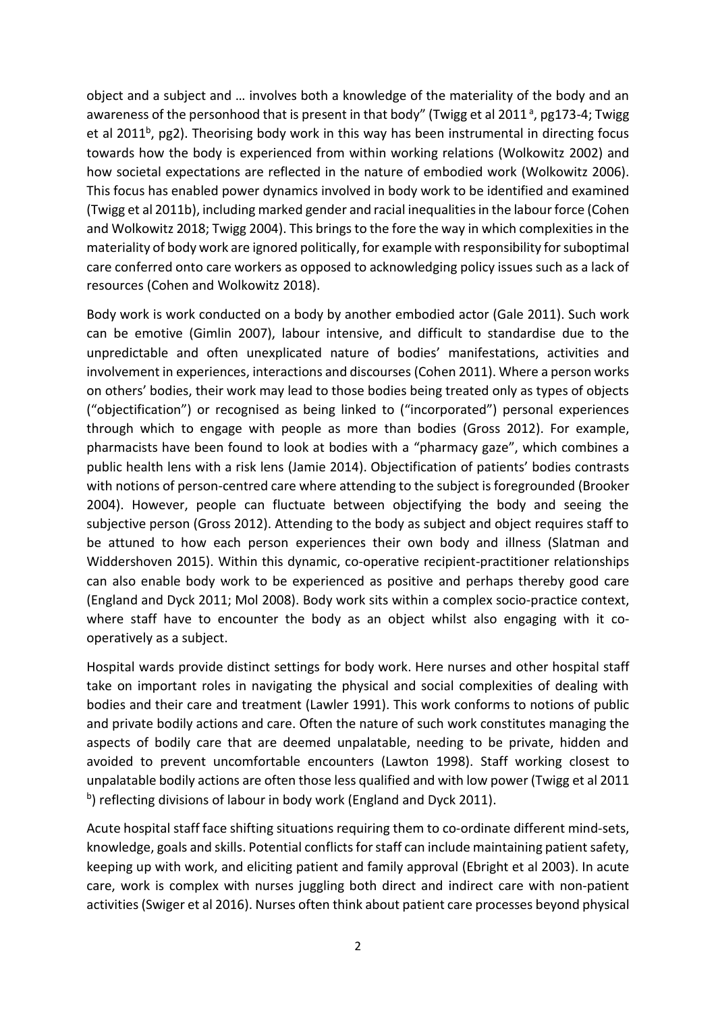object and a subject and … involves both a knowledge of the materiality of the body and an awareness of the personhood that is present in that body" (Twigg et al 2011<sup>a</sup>, pg173-4; Twigg et al 2011<sup>b</sup>, pg2). Theorising body work in this way has been instrumental in directing focus towards how the body is experienced from within working relations (Wolkowitz 2002) and how societal expectations are reflected in the nature of embodied work (Wolkowitz 2006). This focus has enabled power dynamics involved in body work to be identified and examined (Twigg et al 2011b), including marked gender and racial inequalities in the labour force (Cohen and Wolkowitz 2018; Twigg 2004). This brings to the fore the way in which complexities in the materiality of body work are ignored politically, for example with responsibility for suboptimal care conferred onto care workers as opposed to acknowledging policy issues such as a lack of resources (Cohen and Wolkowitz 2018).

Body work is work conducted on a body by another embodied actor (Gale 2011). Such work can be emotive (Gimlin 2007), labour intensive, and difficult to standardise due to the unpredictable and often unexplicated nature of bodies' manifestations, activities and involvement in experiences, interactions and discourses (Cohen 2011). Where a person works on others' bodies, their work may lead to those bodies being treated only as types of objects ("objectification") or recognised as being linked to ("incorporated") personal experiences through which to engage with people as more than bodies (Gross 2012). For example, pharmacists have been found to look at bodies with a "pharmacy gaze", which combines a public health lens with a risk lens (Jamie 2014). Objectification of patients' bodies contrasts with notions of person-centred care where attending to the subject is foregrounded (Brooker 2004). However, people can fluctuate between objectifying the body and seeing the subjective person (Gross 2012). Attending to the body as subject and object requires staff to be attuned to how each person experiences their own body and illness (Slatman and Widdershoven 2015). Within this dynamic, co-operative recipient-practitioner relationships can also enable body work to be experienced as positive and perhaps thereby good care (England and Dyck 2011; Mol 2008). Body work sits within a complex socio-practice context, where staff have to encounter the body as an object whilst also engaging with it cooperatively as a subject.

Hospital wards provide distinct settings for body work. Here nurses and other hospital staff take on important roles in navigating the physical and social complexities of dealing with bodies and their care and treatment (Lawler 1991). This work conforms to notions of public and private bodily actions and care. Often the nature of such work constitutes managing the aspects of bodily care that are deemed unpalatable, needing to be private, hidden and avoided to prevent uncomfortable encounters (Lawton 1998). Staff working closest to unpalatable bodily actions are often those less qualified and with low power (Twigg et al 2011 b) reflecting divisions of labour in body work (England and Dyck 2011).

Acute hospital staff face shifting situations requiring them to co-ordinate different mind-sets, knowledge, goals and skills. Potential conflicts for staff can include maintaining patient safety, keeping up with work, and eliciting patient and family approval (Ebright et al 2003). In acute care, work is complex with nurses juggling both direct and indirect care with non-patient activities (Swiger et al 2016). Nurses often think about patient care processes beyond physical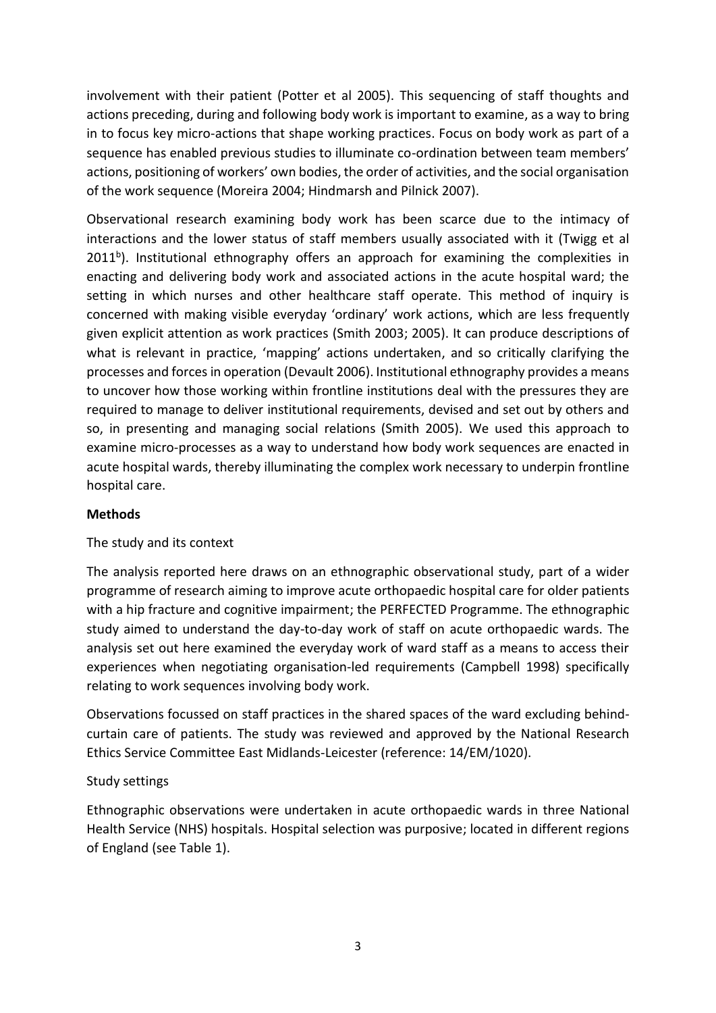involvement with their patient (Potter et al 2005). This sequencing of staff thoughts and actions preceding, during and following body work is important to examine, as a way to bring in to focus key micro-actions that shape working practices. Focus on body work as part of a sequence has enabled previous studies to illuminate co-ordination between team members' actions, positioning of workers' own bodies, the order of activities, and the social organisation of the work sequence (Moreira 2004; Hindmarsh and Pilnick 2007).

Observational research examining body work has been scarce due to the intimacy of interactions and the lower status of staff members usually associated with it (Twigg et al 2011<sup>b</sup>). Institutional ethnography offers an approach for examining the complexities in enacting and delivering body work and associated actions in the acute hospital ward; the setting in which nurses and other healthcare staff operate. This method of inquiry is concerned with making visible everyday 'ordinary' work actions, which are less frequently given explicit attention as work practices (Smith 2003; 2005). It can produce descriptions of what is relevant in practice, 'mapping' actions undertaken, and so critically clarifying the processes and forces in operation (Devault 2006). Institutional ethnography provides a means to uncover how those working within frontline institutions deal with the pressures they are required to manage to deliver institutional requirements, devised and set out by others and so, in presenting and managing social relations (Smith 2005). We used this approach to examine micro-processes as a way to understand how body work sequences are enacted in acute hospital wards, thereby illuminating the complex work necessary to underpin frontline hospital care.

# **Methods**

# The study and its context

The analysis reported here draws on an ethnographic observational study, part of a wider programme of research aiming to improve acute orthopaedic hospital care for older patients with a hip fracture and cognitive impairment; the PERFECTED Programme. The ethnographic study aimed to understand the day-to-day work of staff on acute orthopaedic wards. The analysis set out here examined the everyday work of ward staff as a means to access their experiences when negotiating organisation-led requirements (Campbell 1998) specifically relating to work sequences involving body work.

Observations focussed on staff practices in the shared spaces of the ward excluding behindcurtain care of patients. The study was reviewed and approved by the National Research Ethics Service Committee East Midlands-Leicester (reference: 14/EM/1020).

# Study settings

Ethnographic observations were undertaken in acute orthopaedic wards in three National Health Service (NHS) hospitals. Hospital selection was purposive; located in different regions of England (see Table 1).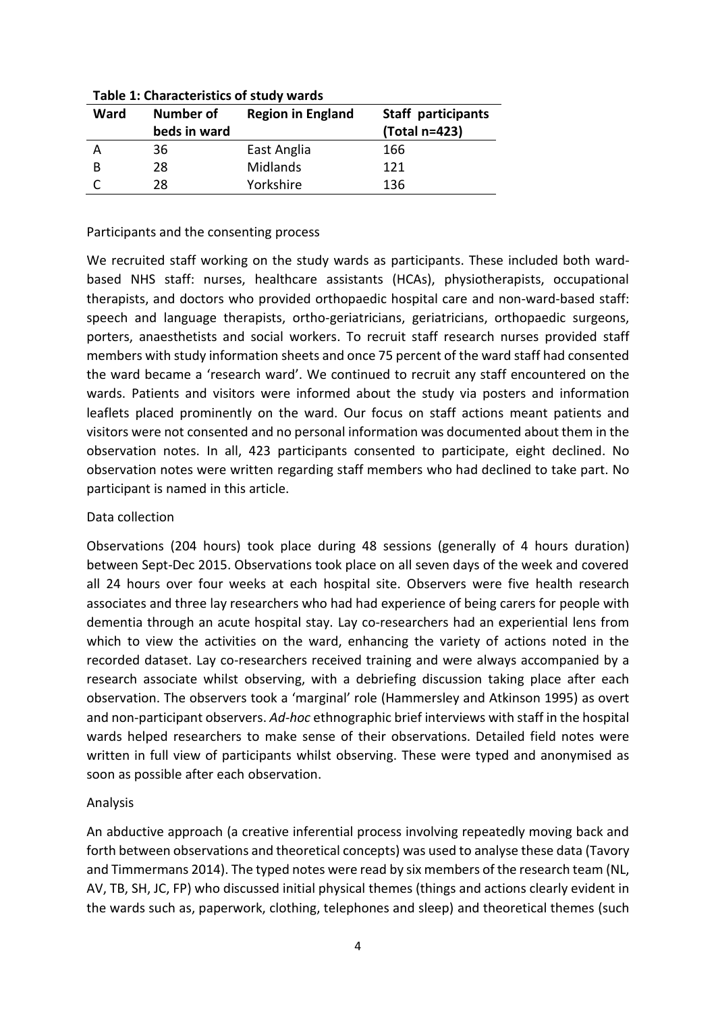| Ward | Number of<br>beds in ward | <b>Region in England</b> | <b>Staff participants</b><br>(Total n=423) |
|------|---------------------------|--------------------------|--------------------------------------------|
|      | 36                        | East Anglia              | 166                                        |
| В    | 28                        | Midlands                 | 121                                        |
|      | 28                        | Yorkshire                | 136                                        |

**Table 1: Characteristics of study wards**

#### Participants and the consenting process

We recruited staff working on the study wards as participants. These included both wardbased NHS staff: nurses, healthcare assistants (HCAs), physiotherapists, occupational therapists, and doctors who provided orthopaedic hospital care and non-ward-based staff: speech and language therapists, ortho-geriatricians, geriatricians, orthopaedic surgeons, porters, anaesthetists and social workers. To recruit staff research nurses provided staff members with study information sheets and once 75 percent of the ward staff had consented the ward became a 'research ward'. We continued to recruit any staff encountered on the wards. Patients and visitors were informed about the study via posters and information leaflets placed prominently on the ward. Our focus on staff actions meant patients and visitors were not consented and no personal information was documented about them in the observation notes. In all, 423 participants consented to participate, eight declined. No observation notes were written regarding staff members who had declined to take part. No participant is named in this article.

# Data collection

Observations (204 hours) took place during 48 sessions (generally of 4 hours duration) between Sept-Dec 2015. Observations took place on all seven days of the week and covered all 24 hours over four weeks at each hospital site. Observers were five health research associates and three lay researchers who had had experience of being carers for people with dementia through an acute hospital stay. Lay co-researchers had an experiential lens from which to view the activities on the ward, enhancing the variety of actions noted in the recorded dataset. Lay co-researchers received training and were always accompanied by a research associate whilst observing, with a debriefing discussion taking place after each observation. The observers took a 'marginal' role (Hammersley and Atkinson 1995) as overt and non-participant observers. *Ad-hoc* ethnographic brief interviews with staff in the hospital wards helped researchers to make sense of their observations. Detailed field notes were written in full view of participants whilst observing. These were typed and anonymised as soon as possible after each observation.

# Analysis

An abductive approach (a creative inferential process involving repeatedly moving back and forth between observations and theoretical concepts) was used to analyse these data (Tavory and Timmermans 2014). The typed notes were read by six members of the research team (NL, AV, TB, SH, JC, FP) who discussed initial physical themes (things and actions clearly evident in the wards such as, paperwork, clothing, telephones and sleep) and theoretical themes (such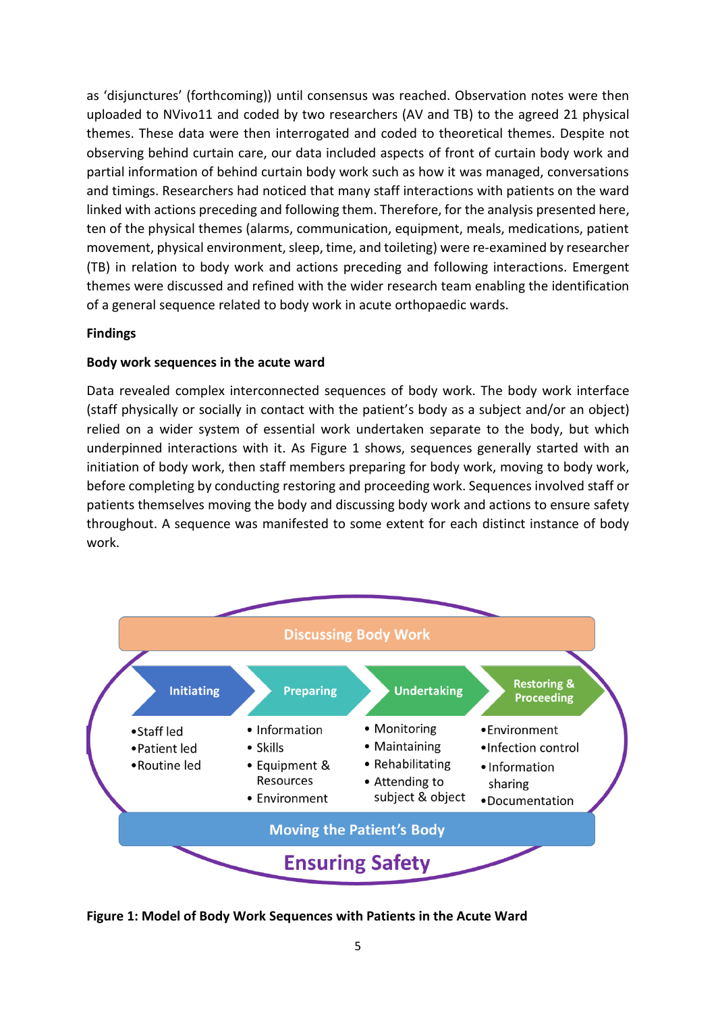as 'disjunctures' (forthcoming)) until consensus was reached. Observation notes were then uploaded to NVivo11 and coded by two researchers (AV and TB) to the agreed 21 physical themes. These data were then interrogated and coded to theoretical themes. Despite not observing behind curtain care, our data included aspects of front of curtain body work and partial information of behind curtain body work such as how it was managed, conversations and timings. Researchers had noticed that many staff interactions with patients on the ward linked with actions preceding and following them. Therefore, for the analysis presented here, ten of the physical themes (alarms, communication, equipment, meals, medications, patient movement, physical environment, sleep, time, and toileting) were re-examined by researcher (TB) in relation to body work and actions preceding and following interactions. Emergent themes were discussed and refined with the wider research team enabling the identification of a general sequence related to body work in acute orthopaedic wards.

### **Findings**

### **Body work sequences in the acute ward**

Data revealed complex interconnected sequences of body work. The body work interface (staff physically or socially in contact with the patient's body as a subject and/or an object) relied on a wider system of essential work undertaken separate to the body, but which underpinned interactions with it. As Figure 1 shows, sequences generally started with an initiation of body work, then staff members preparing for body work, moving to body work, before completing by conducting restoring and proceeding work. Sequences involved staff or patients themselves moving the body and discussing body work and actions to ensure safety throughout. A sequence was manifested to some extent for each distinct instance of body work.



**Figure 1: Model of Body Work Sequences with Patients in the Acute Ward**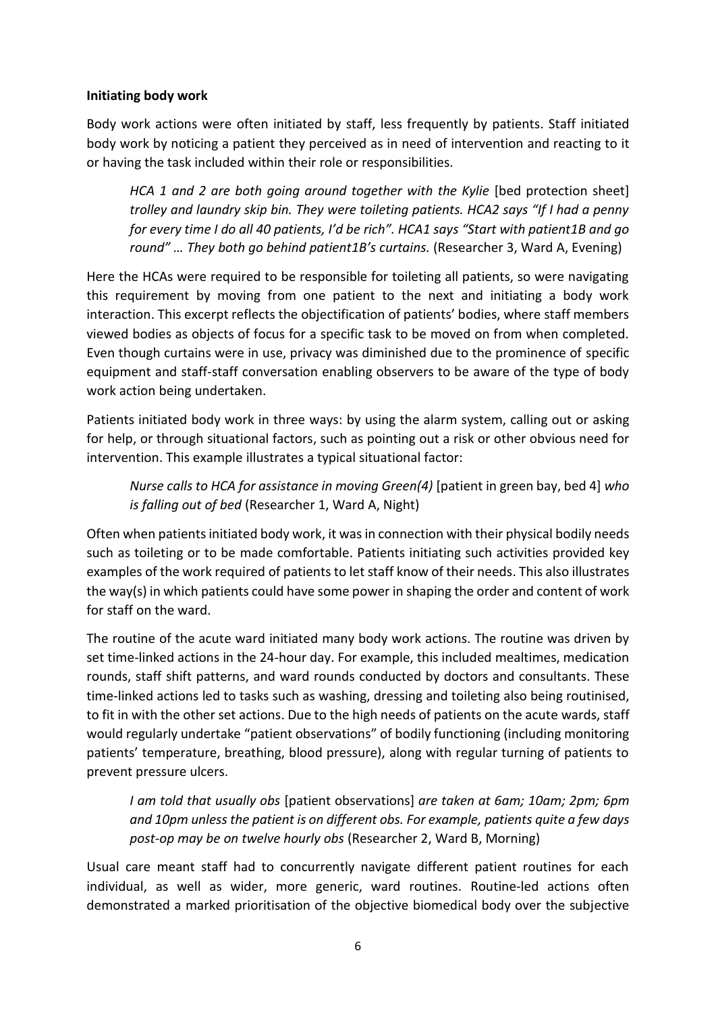## **Initiating body work**

Body work actions were often initiated by staff, less frequently by patients. Staff initiated body work by noticing a patient they perceived as in need of intervention and reacting to it or having the task included within their role or responsibilities.

*HCA 1 and 2 are both going around together with the Kylie [bed protection sheet] trolley and laundry skip bin. They were toileting patients. HCA2 says "If I had a penny for every time I do all 40 patients, I'd be rich". HCA1 says "Start with patient1B and go round" … They both go behind patient1B's curtains.* (Researcher 3, Ward A, Evening)

Here the HCAs were required to be responsible for toileting all patients, so were navigating this requirement by moving from one patient to the next and initiating a body work interaction. This excerpt reflects the objectification of patients' bodies, where staff members viewed bodies as objects of focus for a specific task to be moved on from when completed. Even though curtains were in use, privacy was diminished due to the prominence of specific equipment and staff-staff conversation enabling observers to be aware of the type of body work action being undertaken.

Patients initiated body work in three ways: by using the alarm system, calling out or asking for help, or through situational factors, such as pointing out a risk or other obvious need for intervention. This example illustrates a typical situational factor:

*Nurse calls to HCA for assistance in moving Green(4)* [patient in green bay, bed 4] *who is falling out of bed* (Researcher 1, Ward A, Night)

Often when patients initiated body work, it was in connection with their physical bodily needs such as toileting or to be made comfortable. Patients initiating such activities provided key examples of the work required of patients to let staff know of their needs. This also illustrates the way(s) in which patients could have some power in shaping the order and content of work for staff on the ward.

The routine of the acute ward initiated many body work actions. The routine was driven by set time-linked actions in the 24-hour day. For example, this included mealtimes, medication rounds, staff shift patterns, and ward rounds conducted by doctors and consultants. These time-linked actions led to tasks such as washing, dressing and toileting also being routinised, to fit in with the other set actions. Due to the high needs of patients on the acute wards, staff would regularly undertake "patient observations" of bodily functioning (including monitoring patients' temperature, breathing, blood pressure), along with regular turning of patients to prevent pressure ulcers.

*I am told that usually obs* [patient observations] *are taken at 6am; 10am; 2pm; 6pm and 10pm unless the patient is on different obs. For example, patients quite a few days post-op may be on twelve hourly obs* (Researcher 2, Ward B, Morning)

Usual care meant staff had to concurrently navigate different patient routines for each individual, as well as wider, more generic, ward routines. Routine-led actions often demonstrated a marked prioritisation of the objective biomedical body over the subjective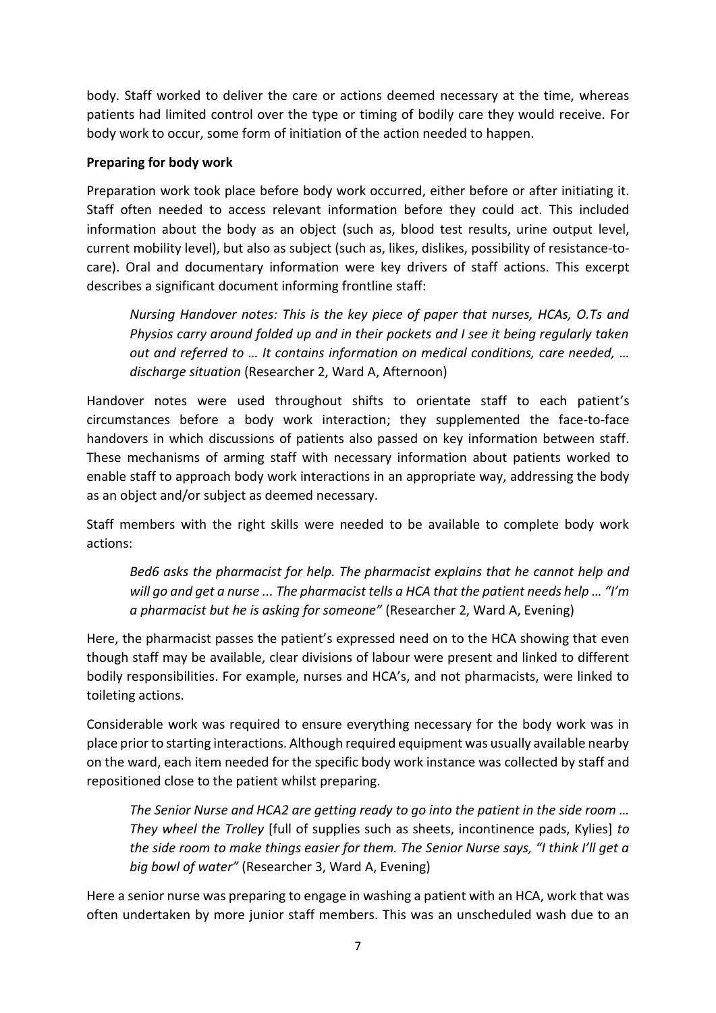body. Staff worked to deliver the care or actions deemed necessary at the time, whereas patients had limited control over the type or timing of bodily care they would receive. For body work to occur, some form of initiation of the action needed to happen.

# **Preparing for body work**

Preparation work took place before body work occurred, either before or after initiating it. Staff often needed to access relevant information before they could act. This included information about the body as an object (such as, blood test results, urine output level, current mobility level), but also as subject (such as, likes, dislikes, possibility of resistance-tocare). Oral and documentary information were key drivers of staff actions. This excerpt describes a significant document informing frontline staff:

*Nursing Handover notes: This is the key piece of paper that nurses, HCAs, O.Ts and Physios carry around folded up and in their pockets and I see it being regularly taken out and referred to … It contains information on medical conditions, care needed, … discharge situation* (Researcher 2, Ward A, Afternoon)

Handover notes were used throughout shifts to orientate staff to each patient's circumstances before a body work interaction; they supplemented the face-to-face handovers in which discussions of patients also passed on key information between staff. These mechanisms of arming staff with necessary information about patients worked to enable staff to approach body work interactions in an appropriate way, addressing the body as an object and/or subject as deemed necessary.

Staff members with the right skills were needed to be available to complete body work actions:

*Bed6 asks the pharmacist for help. The pharmacist explains that he cannot help and will go and get a nurse ... The pharmacist tells a HCA that the patient needs help … "I'm a pharmacist but he is asking for someone"* (Researcher 2, Ward A, Evening)

Here, the pharmacist passes the patient's expressed need on to the HCA showing that even though staff may be available, clear divisions of labour were present and linked to different bodily responsibilities. For example, nurses and HCA's, and not pharmacists, were linked to toileting actions.

Considerable work was required to ensure everything necessary for the body work was in place prior to starting interactions. Although required equipment was usually available nearby on the ward, each item needed for the specific body work instance was collected by staff and repositioned close to the patient whilst preparing.

*The Senior Nurse and HCA2 are getting ready to go into the patient in the side room … They wheel the Trolley* [full of supplies such as sheets, incontinence pads, Kylies] *to the side room to make things easier for them. The Senior Nurse says, "I think I'll get a big bowl of water"* (Researcher 3, Ward A, Evening)

Here a senior nurse was preparing to engage in washing a patient with an HCA, work that was often undertaken by more junior staff members. This was an unscheduled wash due to an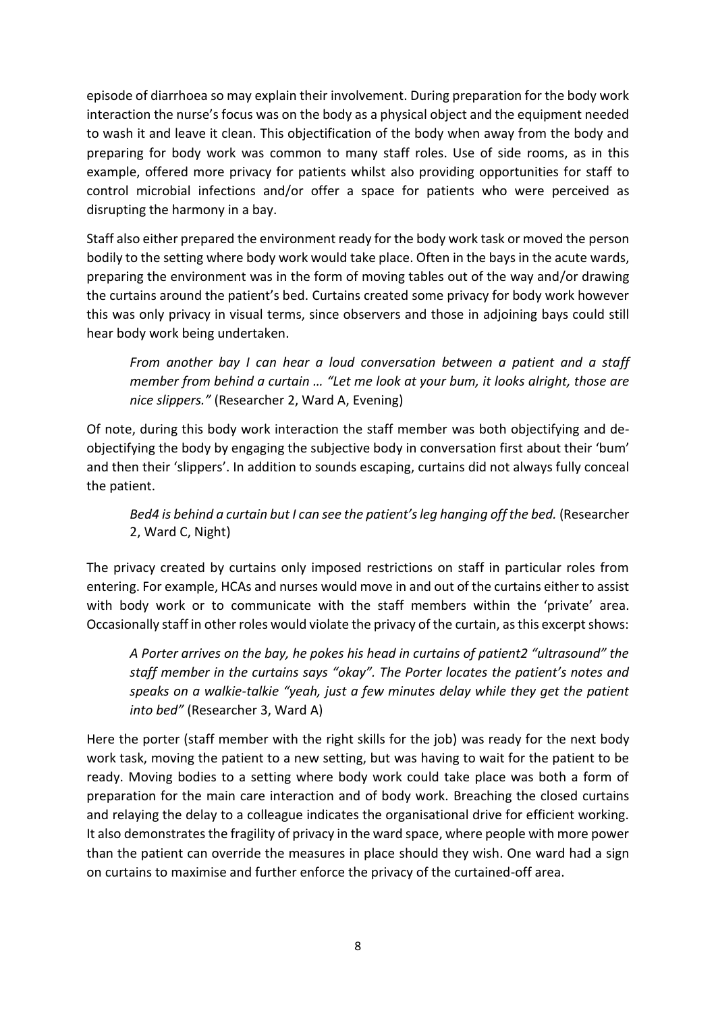episode of diarrhoea so may explain their involvement. During preparation for the body work interaction the nurse's focus was on the body as a physical object and the equipment needed to wash it and leave it clean. This objectification of the body when away from the body and preparing for body work was common to many staff roles. Use of side rooms, as in this example, offered more privacy for patients whilst also providing opportunities for staff to control microbial infections and/or offer a space for patients who were perceived as disrupting the harmony in a bay.

Staff also either prepared the environment ready for the body work task or moved the person bodily to the setting where body work would take place. Often in the bays in the acute wards, preparing the environment was in the form of moving tables out of the way and/or drawing the curtains around the patient's bed. Curtains created some privacy for body work however this was only privacy in visual terms, since observers and those in adjoining bays could still hear body work being undertaken.

*From another bay I can hear a loud conversation between a patient and a staff member from behind a curtain … "Let me look at your bum, it looks alright, those are nice slippers."* (Researcher 2, Ward A, Evening)

Of note, during this body work interaction the staff member was both objectifying and deobjectifying the body by engaging the subjective body in conversation first about their 'bum' and then their 'slippers'. In addition to sounds escaping, curtains did not always fully conceal the patient.

# *Bed4 is behind a curtain but I can see the patient's leg hanging off the bed.* (Researcher 2, Ward C, Night)

The privacy created by curtains only imposed restrictions on staff in particular roles from entering. For example, HCAs and nurses would move in and out of the curtains either to assist with body work or to communicate with the staff members within the 'private' area. Occasionally staff in other roles would violate the privacy of the curtain, as this excerpt shows:

*A Porter arrives on the bay, he pokes his head in curtains of patient2 "ultrasound" the staff member in the curtains says "okay". The Porter locates the patient's notes and speaks on a walkie-talkie "yeah, just a few minutes delay while they get the patient into bed"* (Researcher 3, Ward A)

Here the porter (staff member with the right skills for the job) was ready for the next body work task, moving the patient to a new setting, but was having to wait for the patient to be ready. Moving bodies to a setting where body work could take place was both a form of preparation for the main care interaction and of body work. Breaching the closed curtains and relaying the delay to a colleague indicates the organisational drive for efficient working. It also demonstrates the fragility of privacy in the ward space, where people with more power than the patient can override the measures in place should they wish. One ward had a sign on curtains to maximise and further enforce the privacy of the curtained-off area.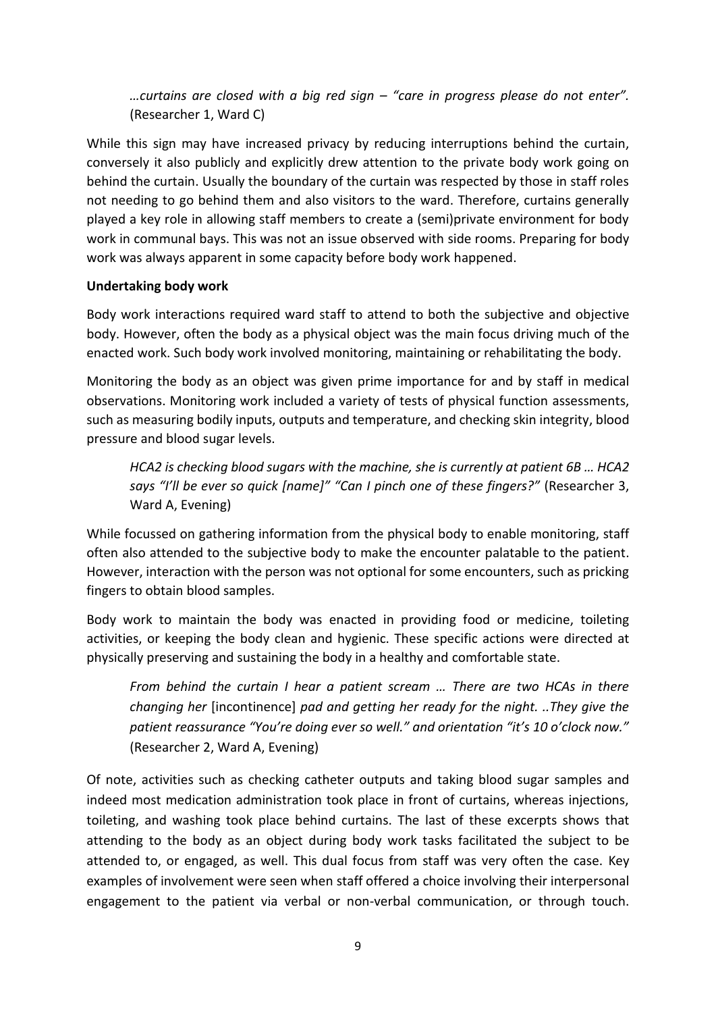*…curtains are closed with a big red sign – "care in progress please do not enter".* (Researcher 1, Ward C)

While this sign may have increased privacy by reducing interruptions behind the curtain, conversely it also publicly and explicitly drew attention to the private body work going on behind the curtain. Usually the boundary of the curtain was respected by those in staff roles not needing to go behind them and also visitors to the ward. Therefore, curtains generally played a key role in allowing staff members to create a (semi)private environment for body work in communal bays. This was not an issue observed with side rooms. Preparing for body work was always apparent in some capacity before body work happened.

### **Undertaking body work**

Body work interactions required ward staff to attend to both the subjective and objective body. However, often the body as a physical object was the main focus driving much of the enacted work. Such body work involved monitoring, maintaining or rehabilitating the body.

Monitoring the body as an object was given prime importance for and by staff in medical observations. Monitoring work included a variety of tests of physical function assessments, such as measuring bodily inputs, outputs and temperature, and checking skin integrity, blood pressure and blood sugar levels.

*HCA2 is checking blood sugars with the machine, she is currently at patient 6B … HCA2 says "I'll be ever so quick [name]" "Can I pinch one of these fingers?"* (Researcher 3, Ward A, Evening)

While focussed on gathering information from the physical body to enable monitoring, staff often also attended to the subjective body to make the encounter palatable to the patient. However, interaction with the person was not optional for some encounters, such as pricking fingers to obtain blood samples.

Body work to maintain the body was enacted in providing food or medicine, toileting activities, or keeping the body clean and hygienic. These specific actions were directed at physically preserving and sustaining the body in a healthy and comfortable state.

*From behind the curtain I hear a patient scream … There are two HCAs in there changing her* [incontinence] *pad and getting her ready for the night. ..They give the patient reassurance "You're doing ever so well." and orientation "it's 10 o'clock now."*  (Researcher 2, Ward A, Evening)

Of note, activities such as checking catheter outputs and taking blood sugar samples and indeed most medication administration took place in front of curtains, whereas injections, toileting, and washing took place behind curtains. The last of these excerpts shows that attending to the body as an object during body work tasks facilitated the subject to be attended to, or engaged, as well. This dual focus from staff was very often the case. Key examples of involvement were seen when staff offered a choice involving their interpersonal engagement to the patient via verbal or non-verbal communication, or through touch.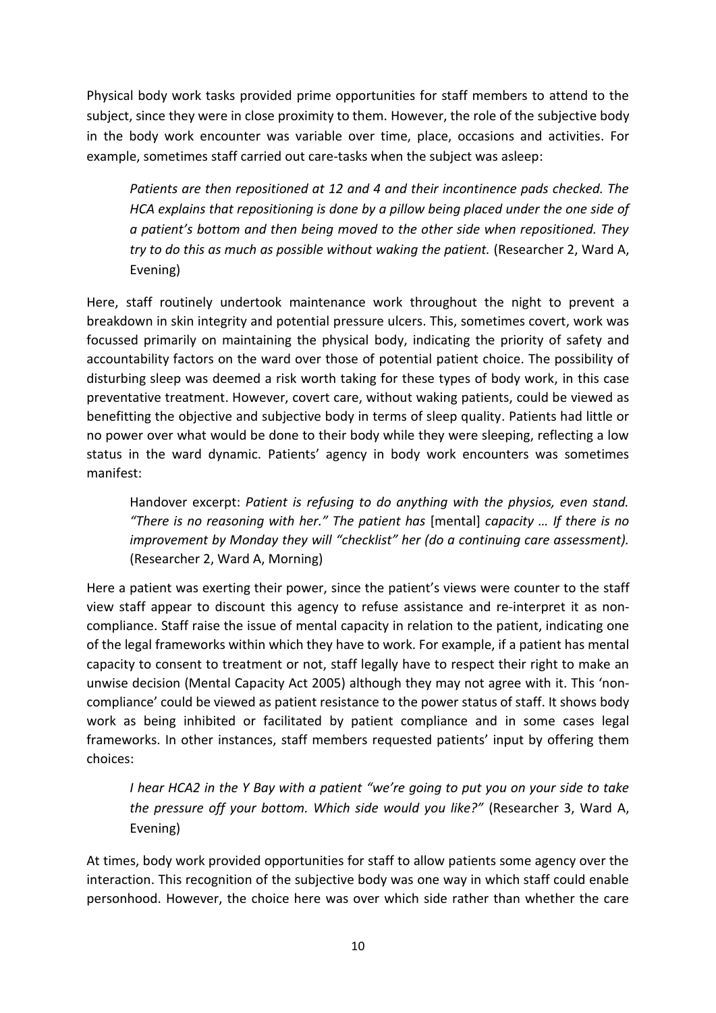Physical body work tasks provided prime opportunities for staff members to attend to the subject, since they were in close proximity to them. However, the role of the subjective body in the body work encounter was variable over time, place, occasions and activities. For example, sometimes staff carried out care-tasks when the subject was asleep:

*Patients are then repositioned at 12 and 4 and their incontinence pads checked. The HCA explains that repositioning is done by a pillow being placed under the one side of a patient's bottom and then being moved to the other side when repositioned. They try to do this as much as possible without waking the patient.* (Researcher 2, Ward A, Evening)

Here, staff routinely undertook maintenance work throughout the night to prevent a breakdown in skin integrity and potential pressure ulcers. This, sometimes covert, work was focussed primarily on maintaining the physical body, indicating the priority of safety and accountability factors on the ward over those of potential patient choice. The possibility of disturbing sleep was deemed a risk worth taking for these types of body work, in this case preventative treatment. However, covert care, without waking patients, could be viewed as benefitting the objective and subjective body in terms of sleep quality. Patients had little or no power over what would be done to their body while they were sleeping, reflecting a low status in the ward dynamic. Patients' agency in body work encounters was sometimes manifest:

Handover excerpt: *Patient is refusing to do anything with the physios, even stand. "There is no reasoning with her." The patient has* [mental] *capacity … If there is no improvement by Monday they will "checklist" her (do a continuing care assessment).* (Researcher 2, Ward A, Morning)

Here a patient was exerting their power, since the patient's views were counter to the staff view staff appear to discount this agency to refuse assistance and re-interpret it as noncompliance. Staff raise the issue of mental capacity in relation to the patient, indicating one of the legal frameworks within which they have to work. For example, if a patient has mental capacity to consent to treatment or not, staff legally have to respect their right to make an unwise decision (Mental Capacity Act 2005) although they may not agree with it. This 'noncompliance' could be viewed as patient resistance to the power status of staff. It shows body work as being inhibited or facilitated by patient compliance and in some cases legal frameworks. In other instances, staff members requested patients' input by offering them choices:

*I hear HCA2 in the Y Bay with a patient "we're going to put you on your side to take the pressure off your bottom. Which side would you like?"* (Researcher 3, Ward A, Evening)

At times, body work provided opportunities for staff to allow patients some agency over the interaction. This recognition of the subjective body was one way in which staff could enable personhood. However, the choice here was over which side rather than whether the care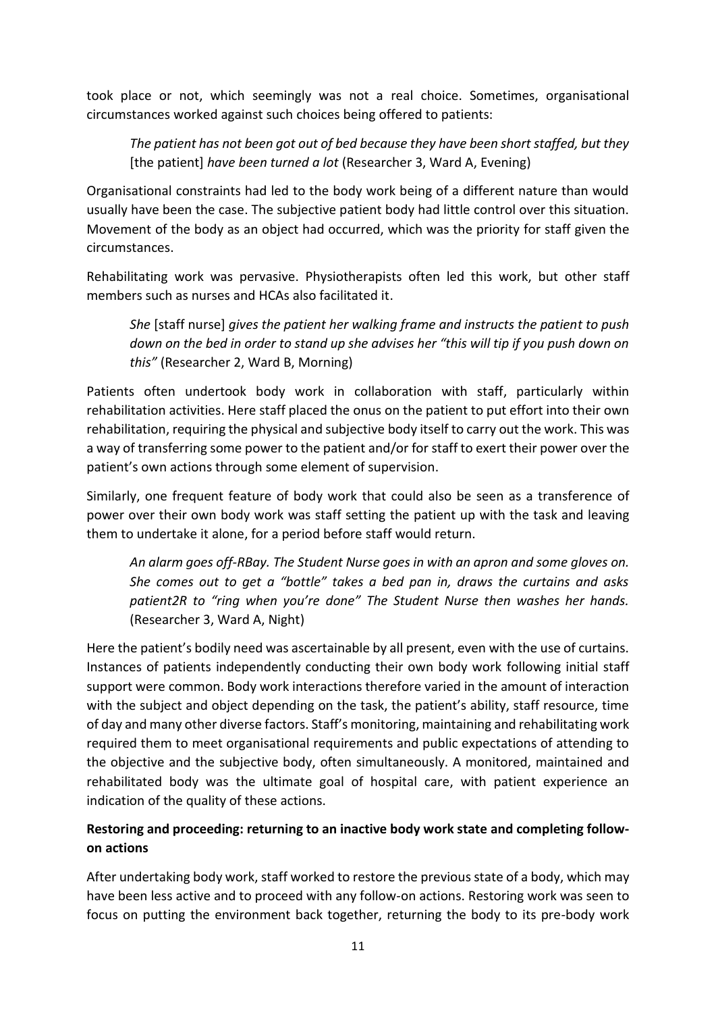took place or not, which seemingly was not a real choice. Sometimes, organisational circumstances worked against such choices being offered to patients:

*The patient has not been got out of bed because they have been short staffed, but they* [the patient] *have been turned a lot* (Researcher 3, Ward A, Evening)

Organisational constraints had led to the body work being of a different nature than would usually have been the case. The subjective patient body had little control over this situation. Movement of the body as an object had occurred, which was the priority for staff given the circumstances.

Rehabilitating work was pervasive. Physiotherapists often led this work, but other staff members such as nurses and HCAs also facilitated it.

*She* [staff nurse] *gives the patient her walking frame and instructs the patient to push down on the bed in order to stand up she advises her "this will tip if you push down on this"* (Researcher 2, Ward B, Morning)

Patients often undertook body work in collaboration with staff, particularly within rehabilitation activities. Here staff placed the onus on the patient to put effort into their own rehabilitation, requiring the physical and subjective body itself to carry out the work. This was a way of transferring some power to the patient and/or for staff to exert their power over the patient's own actions through some element of supervision.

Similarly, one frequent feature of body work that could also be seen as a transference of power over their own body work was staff setting the patient up with the task and leaving them to undertake it alone, for a period before staff would return.

*An alarm goes off-RBay. The Student Nurse goes in with an apron and some gloves on. She comes out to get a "bottle" takes a bed pan in, draws the curtains and asks patient2R to "ring when you're done" The Student Nurse then washes her hands.* (Researcher 3, Ward A, Night)

Here the patient's bodily need was ascertainable by all present, even with the use of curtains. Instances of patients independently conducting their own body work following initial staff support were common. Body work interactions therefore varied in the amount of interaction with the subject and object depending on the task, the patient's ability, staff resource, time of day and many other diverse factors. Staff's monitoring, maintaining and rehabilitating work required them to meet organisational requirements and public expectations of attending to the objective and the subjective body, often simultaneously. A monitored, maintained and rehabilitated body was the ultimate goal of hospital care, with patient experience an indication of the quality of these actions.

# **Restoring and proceeding: returning to an inactive body work state and completing followon actions**

After undertaking body work, staff worked to restore the previous state of a body, which may have been less active and to proceed with any follow-on actions. Restoring work was seen to focus on putting the environment back together, returning the body to its pre-body work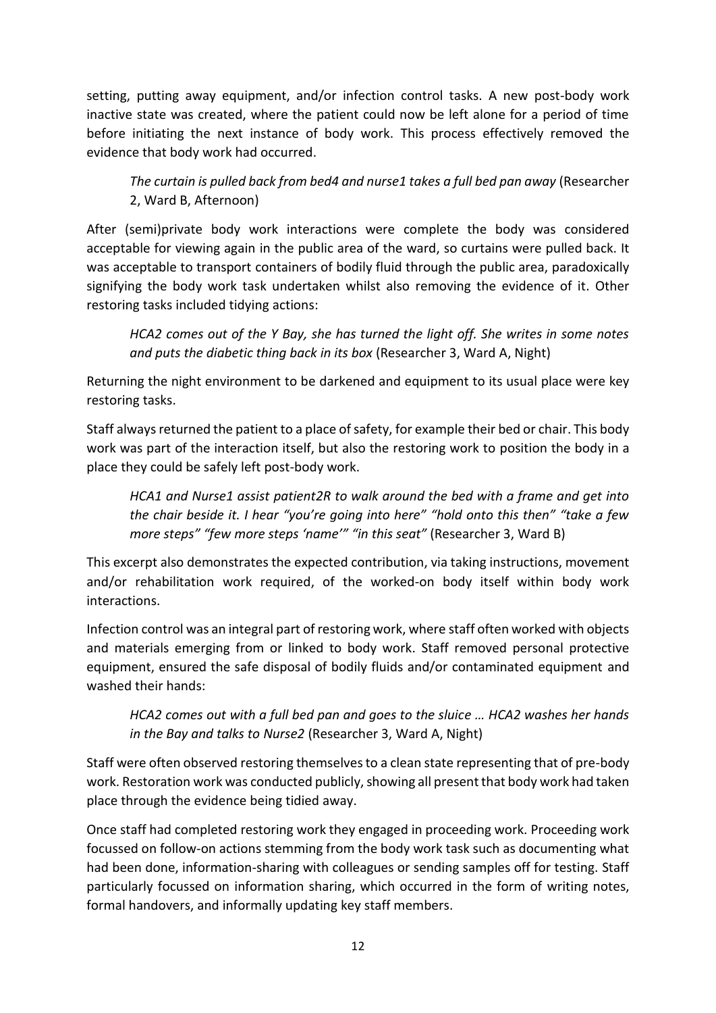setting, putting away equipment, and/or infection control tasks. A new post-body work inactive state was created, where the patient could now be left alone for a period of time before initiating the next instance of body work. This process effectively removed the evidence that body work had occurred.

*The curtain is pulled back from bed4 and nurse1 takes a full bed pan away* (Researcher 2, Ward B, Afternoon)

After (semi)private body work interactions were complete the body was considered acceptable for viewing again in the public area of the ward, so curtains were pulled back. It was acceptable to transport containers of bodily fluid through the public area, paradoxically signifying the body work task undertaken whilst also removing the evidence of it. Other restoring tasks included tidying actions:

*HCA2 comes out of the Y Bay, she has turned the light off. She writes in some notes and puts the diabetic thing back in its box* (Researcher 3, Ward A, Night)

Returning the night environment to be darkened and equipment to its usual place were key restoring tasks.

Staff always returned the patient to a place of safety, for example their bed or chair. This body work was part of the interaction itself, but also the restoring work to position the body in a place they could be safely left post-body work.

*HCA1 and Nurse1 assist patient2R to walk around the bed with a frame and get into the chair beside it. I hear "you're going into here" "hold onto this then" "take a few more steps" "few more steps 'name'" "in this seat"* (Researcher 3, Ward B)

This excerpt also demonstrates the expected contribution, via taking instructions, movement and/or rehabilitation work required, of the worked-on body itself within body work interactions.

Infection control was an integral part of restoring work, where staff often worked with objects and materials emerging from or linked to body work. Staff removed personal protective equipment, ensured the safe disposal of bodily fluids and/or contaminated equipment and washed their hands:

*HCA2 comes out with a full bed pan and goes to the sluice … HCA2 washes her hands in the Bay and talks to Nurse2* (Researcher 3, Ward A, Night)

Staff were often observed restoring themselves to a clean state representing that of pre-body work. Restoration work was conducted publicly, showing all present that body work had taken place through the evidence being tidied away.

Once staff had completed restoring work they engaged in proceeding work. Proceeding work focussed on follow-on actions stemming from the body work task such as documenting what had been done, information-sharing with colleagues or sending samples off for testing. Staff particularly focussed on information sharing, which occurred in the form of writing notes, formal handovers, and informally updating key staff members.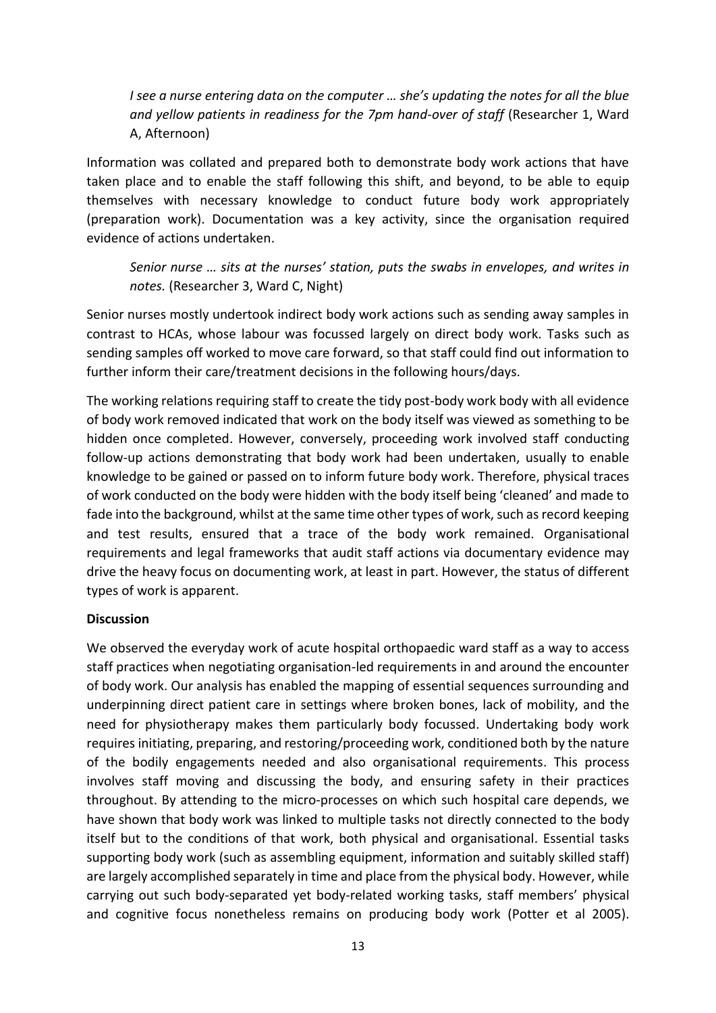*I see a nurse entering data on the computer … she's updating the notes for all the blue and yellow patients in readiness for the 7pm hand-over of staff* (Researcher 1, Ward A, Afternoon)

Information was collated and prepared both to demonstrate body work actions that have taken place and to enable the staff following this shift, and beyond, to be able to equip themselves with necessary knowledge to conduct future body work appropriately (preparation work). Documentation was a key activity, since the organisation required evidence of actions undertaken.

*Senior nurse … sits at the nurses' station, puts the swabs in envelopes, and writes in notes.* (Researcher 3, Ward C, Night)

Senior nurses mostly undertook indirect body work actions such as sending away samples in contrast to HCAs, whose labour was focussed largely on direct body work. Tasks such as sending samples off worked to move care forward, so that staff could find out information to further inform their care/treatment decisions in the following hours/days.

The working relations requiring staff to create the tidy post-body work body with all evidence of body work removed indicated that work on the body itself was viewed as something to be hidden once completed. However, conversely, proceeding work involved staff conducting follow-up actions demonstrating that body work had been undertaken, usually to enable knowledge to be gained or passed on to inform future body work. Therefore, physical traces of work conducted on the body were hidden with the body itself being 'cleaned' and made to fade into the background, whilst at the same time other types of work, such as record keeping and test results, ensured that a trace of the body work remained. Organisational requirements and legal frameworks that audit staff actions via documentary evidence may drive the heavy focus on documenting work, at least in part. However, the status of different types of work is apparent.

# **Discussion**

We observed the everyday work of acute hospital orthopaedic ward staff as a way to access staff practices when negotiating organisation-led requirements in and around the encounter of body work. Our analysis has enabled the mapping of essential sequences surrounding and underpinning direct patient care in settings where broken bones, lack of mobility, and the need for physiotherapy makes them particularly body focussed. Undertaking body work requires initiating, preparing, and restoring/proceeding work, conditioned both by the nature of the bodily engagements needed and also organisational requirements. This process involves staff moving and discussing the body, and ensuring safety in their practices throughout. By attending to the micro-processes on which such hospital care depends, we have shown that body work was linked to multiple tasks not directly connected to the body itself but to the conditions of that work, both physical and organisational. Essential tasks supporting body work (such as assembling equipment, information and suitably skilled staff) are largely accomplished separately in time and place from the physical body. However, while carrying out such body-separated yet body-related working tasks, staff members' physical and cognitive focus nonetheless remains on producing body work (Potter et al 2005).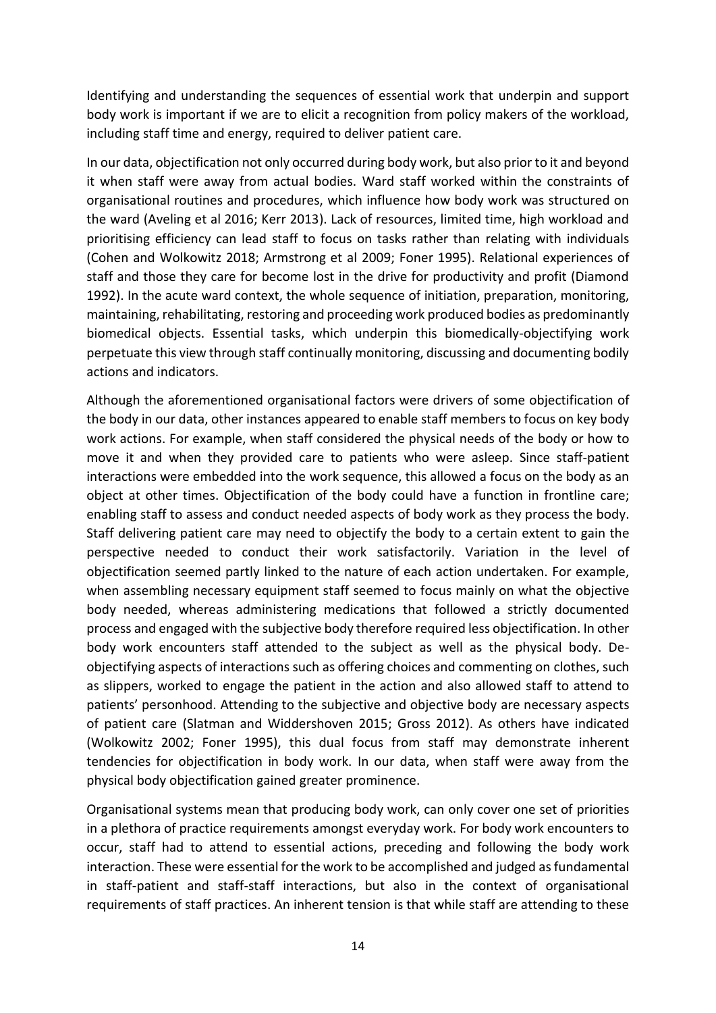Identifying and understanding the sequences of essential work that underpin and support body work is important if we are to elicit a recognition from policy makers of the workload, including staff time and energy, required to deliver patient care.

In our data, objectification not only occurred during body work, but also prior to it and beyond it when staff were away from actual bodies. Ward staff worked within the constraints of organisational routines and procedures, which influence how body work was structured on the ward (Aveling et al 2016; Kerr 2013). Lack of resources, limited time, high workload and prioritising efficiency can lead staff to focus on tasks rather than relating with individuals (Cohen and Wolkowitz 2018; Armstrong et al 2009; Foner 1995). Relational experiences of staff and those they care for become lost in the drive for productivity and profit (Diamond 1992). In the acute ward context, the whole sequence of initiation, preparation, monitoring, maintaining, rehabilitating, restoring and proceeding work produced bodies as predominantly biomedical objects. Essential tasks, which underpin this biomedically-objectifying work perpetuate this view through staff continually monitoring, discussing and documenting bodily actions and indicators.

Although the aforementioned organisational factors were drivers of some objectification of the body in our data, other instances appeared to enable staff members to focus on key body work actions. For example, when staff considered the physical needs of the body or how to move it and when they provided care to patients who were asleep. Since staff-patient interactions were embedded into the work sequence, this allowed a focus on the body as an object at other times. Objectification of the body could have a function in frontline care; enabling staff to assess and conduct needed aspects of body work as they process the body. Staff delivering patient care may need to objectify the body to a certain extent to gain the perspective needed to conduct their work satisfactorily. Variation in the level of objectification seemed partly linked to the nature of each action undertaken. For example, when assembling necessary equipment staff seemed to focus mainly on what the objective body needed, whereas administering medications that followed a strictly documented process and engaged with the subjective body therefore required less objectification. In other body work encounters staff attended to the subject as well as the physical body. Deobjectifying aspects of interactions such as offering choices and commenting on clothes, such as slippers, worked to engage the patient in the action and also allowed staff to attend to patients' personhood. Attending to the subjective and objective body are necessary aspects of patient care (Slatman and Widdershoven 2015; Gross 2012). As others have indicated (Wolkowitz 2002; Foner 1995), this dual focus from staff may demonstrate inherent tendencies for objectification in body work. In our data, when staff were away from the physical body objectification gained greater prominence.

Organisational systems mean that producing body work, can only cover one set of priorities in a plethora of practice requirements amongst everyday work. For body work encounters to occur, staff had to attend to essential actions, preceding and following the body work interaction. These were essential for the work to be accomplished and judged as fundamental in staff-patient and staff-staff interactions, but also in the context of organisational requirements of staff practices. An inherent tension is that while staff are attending to these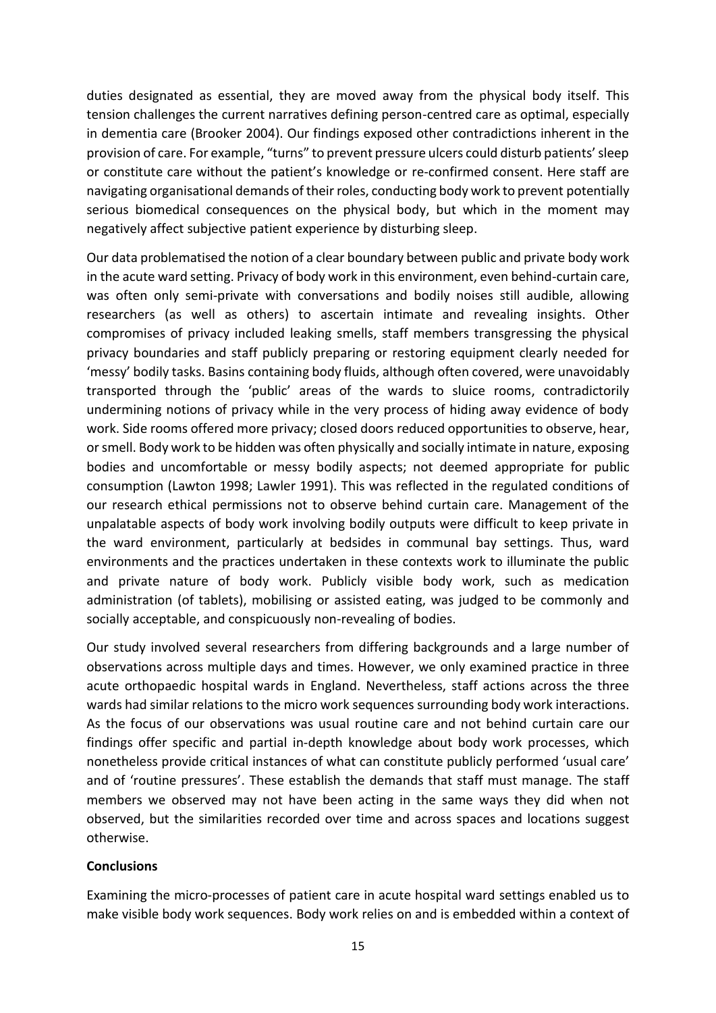duties designated as essential, they are moved away from the physical body itself. This tension challenges the current narratives defining person-centred care as optimal, especially in dementia care (Brooker 2004). Our findings exposed other contradictions inherent in the provision of care. For example, "turns" to prevent pressure ulcers could disturb patients' sleep or constitute care without the patient's knowledge or re-confirmed consent. Here staff are navigating organisational demands of their roles, conducting body work to prevent potentially serious biomedical consequences on the physical body, but which in the moment may negatively affect subjective patient experience by disturbing sleep.

Our data problematised the notion of a clear boundary between public and private body work in the acute ward setting. Privacy of body work in this environment, even behind-curtain care, was often only semi-private with conversations and bodily noises still audible, allowing researchers (as well as others) to ascertain intimate and revealing insights. Other compromises of privacy included leaking smells, staff members transgressing the physical privacy boundaries and staff publicly preparing or restoring equipment clearly needed for 'messy' bodily tasks. Basins containing body fluids, although often covered, were unavoidably transported through the 'public' areas of the wards to sluice rooms, contradictorily undermining notions of privacy while in the very process of hiding away evidence of body work. Side rooms offered more privacy; closed doors reduced opportunities to observe, hear, or smell. Body work to be hidden was often physically and socially intimate in nature, exposing bodies and uncomfortable or messy bodily aspects; not deemed appropriate for public consumption (Lawton 1998; Lawler 1991). This was reflected in the regulated conditions of our research ethical permissions not to observe behind curtain care. Management of the unpalatable aspects of body work involving bodily outputs were difficult to keep private in the ward environment, particularly at bedsides in communal bay settings. Thus, ward environments and the practices undertaken in these contexts work to illuminate the public and private nature of body work. Publicly visible body work, such as medication administration (of tablets), mobilising or assisted eating, was judged to be commonly and socially acceptable, and conspicuously non-revealing of bodies.

Our study involved several researchers from differing backgrounds and a large number of observations across multiple days and times. However, we only examined practice in three acute orthopaedic hospital wards in England. Nevertheless, staff actions across the three wards had similar relations to the micro work sequences surrounding body work interactions. As the focus of our observations was usual routine care and not behind curtain care our findings offer specific and partial in-depth knowledge about body work processes, which nonetheless provide critical instances of what can constitute publicly performed 'usual care' and of 'routine pressures'. These establish the demands that staff must manage. The staff members we observed may not have been acting in the same ways they did when not observed, but the similarities recorded over time and across spaces and locations suggest otherwise.

# **Conclusions**

Examining the micro-processes of patient care in acute hospital ward settings enabled us to make visible body work sequences. Body work relies on and is embedded within a context of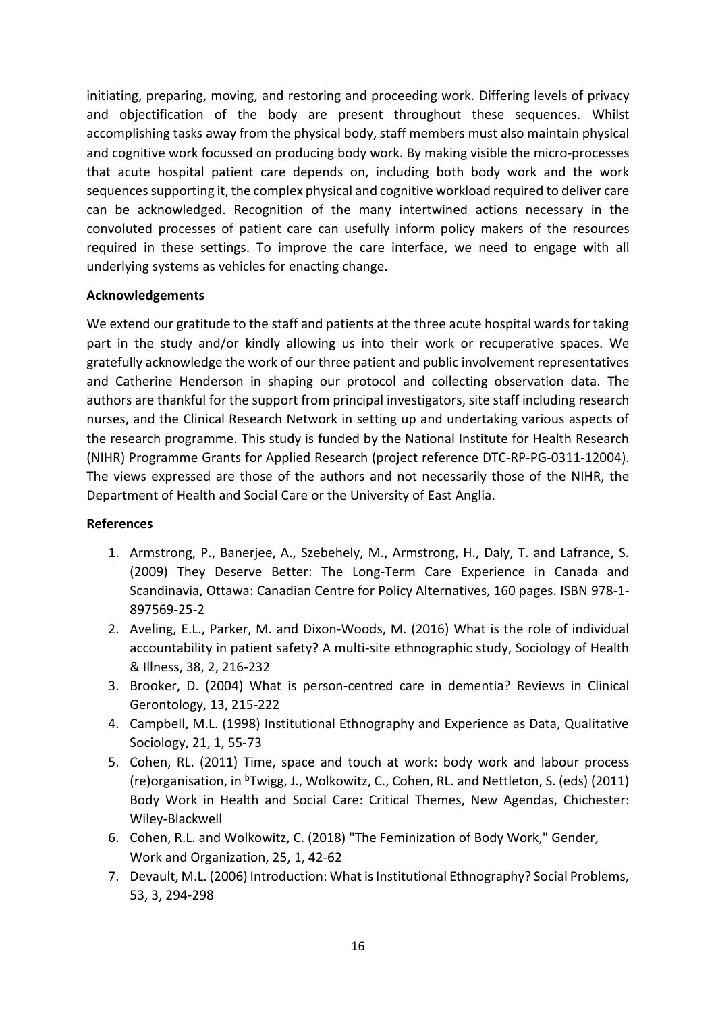initiating, preparing, moving, and restoring and proceeding work. Differing levels of privacy and objectification of the body are present throughout these sequences. Whilst accomplishing tasks away from the physical body, staff members must also maintain physical and cognitive work focussed on producing body work. By making visible the micro-processes that acute hospital patient care depends on, including both body work and the work sequences supporting it, the complex physical and cognitive workload required to deliver care can be acknowledged. Recognition of the many intertwined actions necessary in the convoluted processes of patient care can usefully inform policy makers of the resources required in these settings. To improve the care interface, we need to engage with all underlying systems as vehicles for enacting change.

# **Acknowledgements**

We extend our gratitude to the staff and patients at the three acute hospital wards for taking part in the study and/or kindly allowing us into their work or recuperative spaces. We gratefully acknowledge the work of our three patient and public involvement representatives and Catherine Henderson in shaping our protocol and collecting observation data. The authors are thankful for the support from principal investigators, site staff including research nurses, and the Clinical Research Network in setting up and undertaking various aspects of the research programme. This study is funded by the National Institute for Health Research (NIHR) Programme Grants for Applied Research (project reference DTC-RP-PG-0311-12004). The views expressed are those of the authors and not necessarily those of the NIHR, the Department of Health and Social Care or the University of East Anglia.

# **References**

- 1. Armstrong, P., Banerjee, A., Szebehely, M., Armstrong, H., Daly, T. and Lafrance, S. (2009) They Deserve Better: The Long-Term Care Experience in Canada and Scandinavia, Ottawa: Canadian Centre for Policy Alternatives, 160 pages. ISBN 978-1- 897569-25-2
- 2. Aveling, E.L., Parker, M. and Dixon-Woods, M. (2016) What is the role of individual accountability in patient safety? A multi-site ethnographic study, Sociology of Health & Illness, 38, 2, 216-232
- 3. Brooker, D. (2004) What is person-centred care in dementia? Reviews in Clinical Gerontology, 13, 215-222
- 4. Campbell, M.L. (1998) Institutional Ethnography and Experience as Data, Qualitative Sociology, 21, 1, 55-73
- 5. Cohen, RL. (2011) Time, space and touch at work: body work and labour process (re)organisation, in <sup>b</sup>Twigg, J., Wolkowitz, C., Cohen, RL. and Nettleton, S. (eds) (2011) Body Work in Health and Social Care: Critical Themes, New Agendas, Chichester: Wiley-Blackwell
- 6. Cohen, R.L. and Wolkowitz, C. (2018) "The Feminization of Body Work," Gender, Work and Organization, 25, 1, 42-62
- 7. Devault, M.L. (2006) Introduction: What is Institutional Ethnography? Social Problems, 53, 3, 294-298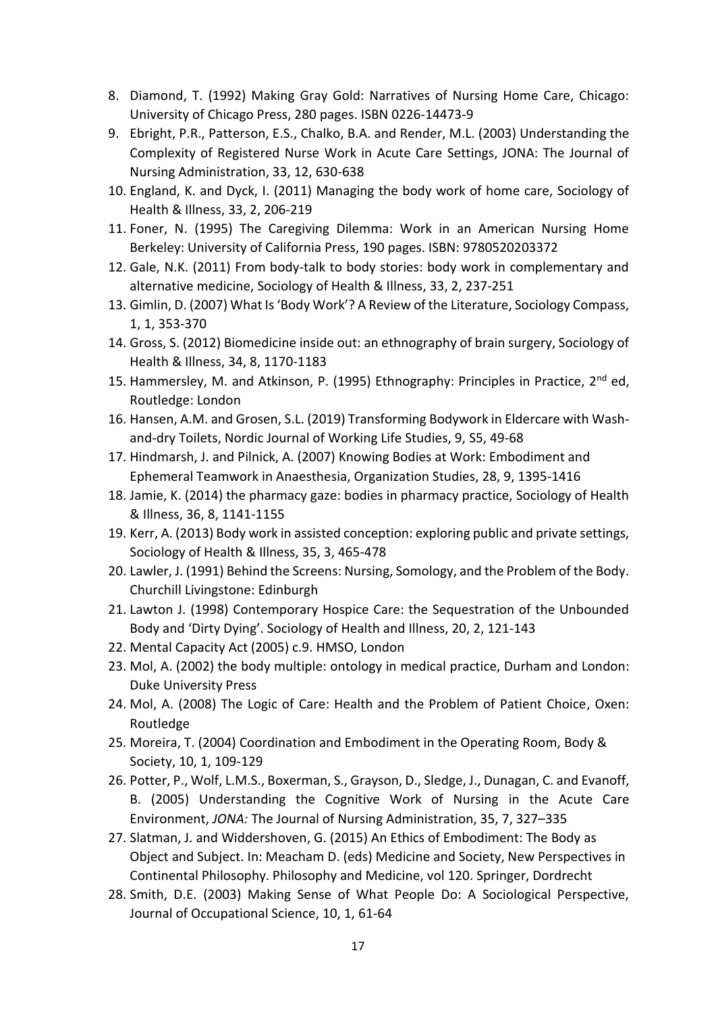- 8. Diamond, T. (1992) Making Gray Gold: Narratives of Nursing Home Care, Chicago: University of Chicago Press, 280 pages. ISBN 0226-14473-9
- 9. Ebright, P.R., Patterson, E.S., Chalko, B.A. and Render, M.L. (2003) Understanding the Complexity of Registered Nurse Work in Acute Care Settings, JONA: The Journal of Nursing Administration, 33, 12, 630-638
- 10. England, K. and Dyck, I. (2011) Managing the body work of home care, Sociology of Health & Illness, 33, 2, 206-219
- 11. Foner, N. (1995) The Caregiving Dilemma: Work in an American Nursing Home Berkeley: University of California Press, 190 pages. ISBN: 9780520203372
- 12. Gale, N.K. (2011) From body-talk to body stories: body work in complementary and alternative medicine, Sociology of Health & Illness, 33, 2, 237-251
- 13. Gimlin, D. (2007) What Is 'Body Work'? A Review of the Literature, Sociology Compass, 1, 1, 353-370
- 14. Gross, S. (2012) Biomedicine inside out: an ethnography of brain surgery, Sociology of Health & Illness, 34, 8, 1170-1183
- 15. Hammersley, M. and Atkinson, P. (1995) Ethnography: Principles in Practice, 2<sup>nd</sup> ed, Routledge: London
- 16. Hansen, A.M. and Grosen, S.L. (2019) Transforming Bodywork in Eldercare with Washand-dry Toilets, Nordic Journal of Working Life Studies, 9, S5, 49-68
- 17. Hindmarsh, J. and Pilnick, A. (2007) Knowing Bodies at Work: Embodiment and Ephemeral Teamwork in Anaesthesia, Organization Studies, 28, 9, 1395-1416
- 18. Jamie, K. (2014) the pharmacy gaze: bodies in pharmacy practice, Sociology of Health & Illness, 36, 8, 1141-1155
- 19. Kerr, A. (2013) Body work in assisted conception: exploring public and private settings, Sociology of Health & Illness, 35, 3, 465-478
- 20. Lawler, J. (1991) Behind the Screens: Nursing, Somology, and the Problem of the Body. Churchill Livingstone: Edinburgh
- 21. Lawton J. (1998) Contemporary Hospice Care: the Sequestration of the Unbounded Body and 'Dirty Dying'. Sociology of Health and Illness, 20, 2, 121-143
- 22. Mental Capacity Act (2005) c.9. HMSO, London
- 23. Mol, A. (2002) the body multiple: ontology in medical practice, Durham and London: Duke University Press
- 24. Mol, A. (2008) The Logic of Care: Health and the Problem of Patient Choice, Oxen: Routledge
- 25. Moreira, T. (2004) Coordination and Embodiment in the Operating Room, Body & Society, 10, 1, 109-129
- 26. Potter, P., Wolf, L.M.S., Boxerman, S., Grayson, D., Sledge, J., Dunagan, C. and Evanoff, B. (2005) Understanding the Cognitive Work of Nursing in the Acute Care Environment, *JONA:* The Journal of Nursing Administration, 35, 7, 327–335
- 27. Slatman, J. and Widdershoven, G. (2015) An Ethics of Embodiment: The Body as Object and Subject. In: Meacham D. (eds) Medicine and Society, New Perspectives in Continental Philosophy. Philosophy and Medicine, vol 120. Springer, Dordrecht
- 28. Smith, D.E. (2003) Making Sense of What People Do: A Sociological Perspective, Journal of Occupational Science, 10, 1, 61-64